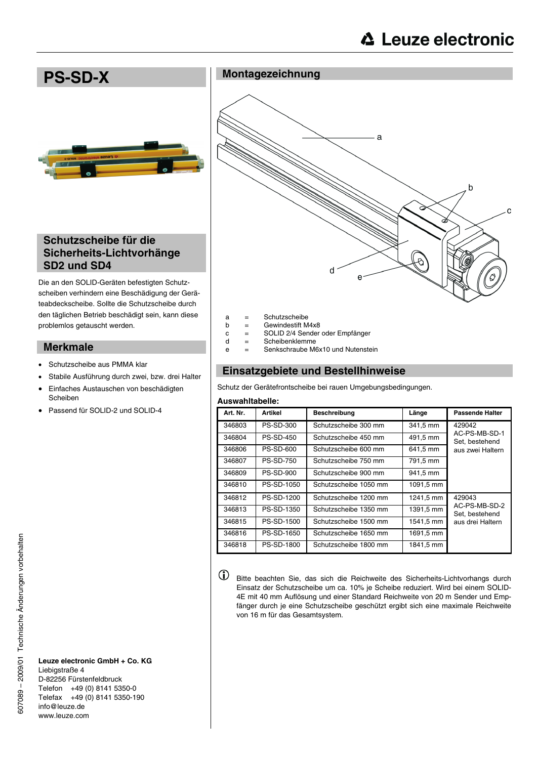

- a = Schutzscheibe
- $b =$  Gewindestift M4x8
- c = SOLID 2/4 Sender oder Empfänger
- d = Scheibenklemme
- e = Senkschraube M6x10 und Nutenstein

## **Einsatzgebiete und Bestellhinweise**

Schutz der Gerätefrontscheibe bei rauen Umgebungsbedingungen.

#### **Auswahltabelle:**

| Art. Nr. | Artikel           | <b>Beschreibung</b>   | Länge     | <b>Passende Halter</b>          |  |  |
|----------|-------------------|-----------------------|-----------|---------------------------------|--|--|
| 346803   | <b>PS-SD-300</b>  | Schutzscheibe 300 mm  | 341,5 mm  | 429042                          |  |  |
| 346804   | <b>PS-SD-450</b>  | Schutzscheibe 450 mm  | 491,5 mm  | AC-PS-MB-SD-1<br>Set, bestehend |  |  |
| 346806   | <b>PS-SD-600</b>  | Schutzscheibe 600 mm  | 641,5 mm  | aus zwei Haltern                |  |  |
| 346807   | <b>PS-SD-750</b>  | Schutzscheibe 750 mm  | 791,5 mm  |                                 |  |  |
| 346809   | <b>PS-SD-900</b>  | Schutzscheibe 900 mm  | 941,5 mm  |                                 |  |  |
| 346810   | <b>PS-SD-1050</b> | Schutzscheibe 1050 mm | 1091,5 mm |                                 |  |  |
| 346812   | PS-SD-1200        | Schutzscheibe 1200 mm | 1241,5 mm | 429043                          |  |  |
| 346813   | PS-SD-1350        | Schutzscheibe 1350 mm | 1391,5 mm | AC-PS-MB-SD-2<br>Set, bestehend |  |  |
| 346815   | <b>PS-SD-1500</b> | Schutzscheibe 1500 mm | 1541,5 mm | aus drei Haltern                |  |  |
| 346816   | PS-SD-1650        | Schutzscheibe 1650 mm | 1691,5 mm |                                 |  |  |
| 346818   | PS-SD-1800        | Schutzscheibe 1800 mm | 1841.5 mm |                                 |  |  |
|          |                   |                       |           |                                 |  |  |

 $\bigcirc$ 

Bitte beachten Sie, das sich die Reichweite des Sicherheits-Lichtvorhangs durch Einsatz der Schutzscheibe um ca. 10% je Scheibe reduziert. Wird bei einem SOLID-4E mit 40 mm Auflösung und einer Standard Reichweite von 20 m Sender und Empfänger durch je eine Schutzscheibe geschützt ergibt sich eine maximale Reichweite von 16 m für das Gesamtsystem.

# **Sicherheits-Lichtvorhänge SD2 und SD4**

Die an den SOLID-Geräten befestigten Schutzscheiben verhindern eine Beschädigung der Geräteabdeckscheibe. Sollte die Schutzscheibe durch den täglichen Betrieb beschädigt sein, kann diese problemlos getauscht werden.

#### **Merkmale**

- Schutzscheibe aus PMMA klar
- Stabile Ausführung durch zwei, bzw. drei Halter
- Einfaches Austauschen von beschädigten Scheiben
- Passend für SOLID-2 und SOLID-4

**Leuze electronic GmbH + Co. KG** Liebigstraße 4 D-82256 Fürstenfeldbruck Telefon +49 (0) 8141 5350-0 Telefax +49 (0) 8141 5350-190 info@leuze.de www.leuze.com